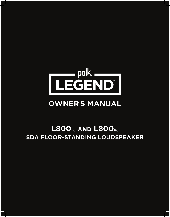

# **OWNER' S MANUAL**

# **L800LC AND L800RC SDA FLOOR-STANDING LOUDSPEAKER**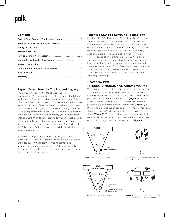## **Contents**

## **Expect Great Sound – The Legend Legacy**

Thank you for choosing the Polk Legend Series of loudspeakers. With sound that virtually transports the listener to the scene of the recorded performance, the Legend Series offers great Polk sound housed in bold, American design. Listen to music with crisp, lifelike detail and natural reproduction of complex low-frequency instruments — even during extended listening at performance levels. Dive into your music collection and bring the live show home, or amplify your home theater entertainment. With its American modern styling, each speaker in the Legend Series features gorgeous curves and aggressive accents that elevate the décor of your room. Pure and simple, the Polk Legend Series is engineered and designed with your entertainment in mind.

Having built a reputation as the makers of great sound for more than 40 years, Polk Audio takes pride in superior sound and build quality, which features many patented and award-winning audio innovations. For Polk, building audio products isn't just a job — it's a passion to deliver great sound that's accessible for everyone!

## **Patented SDA Pro Surround Technology**

Polk Patented SDA Pro (Stereo Dimensional Array) surround technology creates an expansive soundstage and detailed stereo image, while delivering a natural multi-dimensional sound experience. A wide, detailed soundstage is accomplished by revealing the original recorded signal. By positioning additional drivers to deliver a precisely derived interaural crosstalk cancellation signal to your ears, SDA Pro enables you to hear the sonic image just as the recording captured it. Individual instruments appear across a wide stage, as if the performance were in front of you at that very moment. In addition to processing two channel audio, it also integrates with 5.1 surround sound and is compatible with modern decoding technologies.

# **HOW SDA PRO (STEREO DIMENSIONAL ARRAY) WORKS**

The original recorded left and right stereo signals are intended for the left and right ears, respectively. With conventional stereo speakers, sound from the left and right channel cross paths and are heard by the opposite ear (Figure 1). This is called Interaural Crosstalk (IAC). IAC distorts the imaging process, causing a narrow, shallow sound field (Figure 2). SDA Pro technology employs an acoustically inverted "dimensional" signal to cancel IAC, without impacting the original recorded signal (Figure 3). The result is that only the correct, original recorded signal reaches each ear, and the full width and depth of the sound stage is accurately reproduced (Figure 4).





Figure 1. Conventional Speakers



Figure 2. Compressed Sound Stage due to Undesired Signals





Figure 3. Polk TRUE STEREO SDA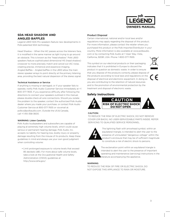

# **SDA HEAD SHADOW AND ANGLED BAFFLES**

Legend L800 SDA Pro speakers feature new developments in Polk-patented SDA technology.

Head Shadow – When the IAC passes across the listeners face, it is modified in the same manner as light trying to go around an obstacle. This is known as the "head shadow." Polk L800 speakers feature sophisticated dimensional HS (head shadow) crossover to more precisely match and cancel out IAC noise, creating precise, immersive and expansive imaging. Angled Baffles – Angled baffles in the L800 allow the main stereo speaker arrays to point directly at the primary listening area, providing the best natural dispersion of the stereo signal.

## Technical Assistance or Service

If anything is missing or damaged, or if your speaker fails to operate, notify Polk Audio Customer Service immediately at +1 800-377-7655. If you experience difficulty after following the directions to connect your speakers outlined in this manual, please double-check all wire connections. Should you isolate the problem to the speaker, contact the authorized Polk Audio dealer where you made your purchase, or contact Polk Audio Customer Service at 800-377-7655 or via email at polkcs@polkaudio.com. Outside the US & Canada, call +1 410-358-3600.

#### WARNING: Listen Carefully

Polk Audio loudspeakers and subwoofers are capable of playing at extremely high volume levels, which could cause serious or permanent hearing damage. Polk Audio, Inc. accepts no liability for hearing loss, bodily injury or property damage resulting from the misuse of its products. Keep these guidelines in mind and always use your own good judgment when controlling volume:

• Limit prolonged exposure to volume levels that exceed 85 decibels (dB). For more about safe volume levels, take a look at the Occupational Health and Safety Administration (OSHA) guidelines at http://www.osha.gov/.

### Product Disposal

Certain international, national and/or local laws and/or regulations may apply regarding the disposal of this product. For more information, please contact the retailer where you purchased this product or the Polk Importer/Distributor in your country. More information is also available at www.polkaudio. com or by contacting Polk Audio at 1 Viper Way, Vista, California, 92081, USA. Phone: 1-800-377-7655.

This symbol on our electrical products or their packaging indicates that it is prohibited in Europe to discard the product in question as domestic waste. In order to ensure that you dispose of the products correctly, please dispose of the products according to local laws and regulations on the disposal of electrical and electronic equipment. In doing so you are contributing to the retention of natural resources and to the promotion of environmental protection by the treatment and disposal of electronic waste.

## **Safety Instructions**



## CAUTION:

TO REDUCE THE RISK OF ELECTRIC SHOCK, DO NOT REMOVE COVER (OR BACK). NO USER-SERVICEABLE PARTS INSIDE. REFER SERVICING TO QUALIFIED SERVICE PERSONNEL.



The lightning flash with arrowhead symbol, within an equilateral triangle, is intended to alert the user to the presence of uninsulated "dangerous voltage" within the product's enclosure that may be of sufficient magnitude to constitute a risk of electric shock to persons.



The exclamation point within an equilateral triangle is intended to alert the user to the presence of important operating and maintenance (servicing) instructions in the literature accompanying the appliance.

#### WARNING:

TO REDUCE THE RISK OF FIRE OR ELECTRIC SHOCK, DO NOT EXPOSE THIS APPLIANCE TO RAIN OR MOISTURE.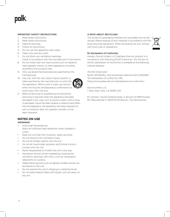## IMPORTANT SAFETY INSTRUCTIONS

- 1. Read these instructions.
- 2. Keep these instructions.
- 3. Heed all warnings.
- 4. Follow all instructions.
- 5. Do not use this apparatus near water.
- 6. Clean only with dry cloth.
- 7. Do not block any ventilation openings. Install in accordance with the manufacturer's instructions.
- 8. Do not install near any heat sources such as radiators, heat registers, stoves, or other apparatus (including amplifiers) that produce heat.
- 9. Only use attachments/accessories specified by the manufacturer.
- 10. Use only with the cart, stand, tripod, bracket, or table specified by the manufacturer, or sold with the apparatus. When a cart is used, use caution when moving the cart/apparatus combination to avoid injury from tip-over.



11. Refer all servicing to qualified service personnel. Servicing is required when the apparatus has been damaged in any way, such as power supply cord or plug is damaged, liquid has been spilled or objects have fallen into the apparatus, the apparatus has been exposed to rain or moisture, does not operate normally, or has been dropped.

## **NOTES ON USE** WARNINGS

- Avoid high temperatures. Allow for sufficient heat dispersion when installed in a rack.
- Keep the unit free from moisture, water, and dust.
- Do not obstruct the ventilation holes.
- Do not let foreign objects into the unit.
- Do not let insecticides, benzene, and thinner come in contact with the unit.
- Never disassemble or modify the unit in any way.
- Ventilation should not be impeded by covering the ventilation openings with items, such as newspapers, tablecloths or curtains.
- Naked flame sources such as lighted candles should not be placed on the unit.
- Do not expose the unit to dripping or splashing fluids.
- Do not place objects filled with liquids, such as vases, on the unit.

## A NOTE ABOUT RECYCLING:

This product's packaging materials are recyclable and can be reused. Please dispose of any materials in accordance with the local recycling regulations. When discarding the unit, comply with local rules or regulations.



## EU Declaration of Conformity

Hereby, [Sound United, LLC] declares that our product is in compliance with following EU/EC Directives. The full text of the EU declaration of conformity is available at the following internet address:

### <EU/EC Directives>

RoHS: 2011/65/EU, and amendment directive (EU) 2015/863 "EU declaration of conformity URL: https://www.polkaudio.com/declarations-of-conformity"

Sound United, LLC 1 Viper Way Vista, CA 92081 USA

EU contact : Sound United Europe, A division of D&M Europe B.V. Beemdstraat 11, 5653 MA Eindhoven, The Netherlands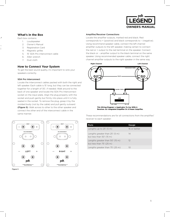

## **What's in the Box**

Each box contains:

 $\overline{1}$ 

- 1. Loudspeaker
- 2. Owner's Manual
- 3. Registration Card
- 4. Magnetic grilles
- 5. 15' SDA Pro interconnect cable
- 6. Allen wrench
- 7. Dust cloth

# **How to Connect Your System**

To get the best sound quality, it's important to wire your speakers correctly.

## SDA Pro Interconnect

Locate the interconnect cables packed with both the right and left speaker. Each cable is 15' long, but they can be connected together for a length of 30', if needed. Walk around to the back of one speaker and locate the SDA Pro Interconnect socket on the input plate. Align the plug properly with the socket and push gently but firmly into place until it is fully seated in the socket. To remove the plug, grasp it by the molded body (not by the cable) and pull gently outward (Figure 5). Walk across to other to the other speaker and connect the other end of the interconnect cable in the same manner.



Figure 5

### Amplifier/Receiver Connections

Locate the amplifier outputs, marked red and black. Red corresponds to + (positive) and black corresponds to – (negative). Using recommend speaker cable, connect the left channel amplifier outputs to the left speaker, making certain to connect the red or + output to the red terminal on the speaker. Connect the black or – amplifier output to the black terminal on the same speaker. Using recommended speaker cable, connect the right channel amplifier outputs to the right speaker in the same way.



Receiver. An Integrated Amplifier Or A Power Amplifier.

These recommendations are for all connections from the amplifier/ receiver to each speaker:

| Runs                                                           | Gauge        |
|----------------------------------------------------------------|--------------|
| Lengths up to $25'$ (5 m)                                      | 16 or better |
| Lengths greater than $25'$ (5 m)<br>but less than $50'$ (15 m) | 14           |
| Lengths greater than 50' (15 m)<br>but less than $75'$ (25 m)  | 12           |
| Lengths greater than 75' (25 m)                                | 10           |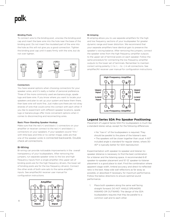### Binding Posts

To connect wire to the binding post, unscrew the binding post cap and insert the bare wire into the hole near the base of the binding post. Do not insert the insulated part of the wire into the hole as this will not give you a good connection. Tighten the binding post cap until it seats firmly with the wire, but do not over tighten.



## Connectors

You have several options when choosing connectors for your speaker wires, and it's really a matter of personal preference. Three of the more commonly used are banana plugs, spade lugs and bare wire. If you know where you want to locate your speakers and plan to set up your system and leave them there, then bare wire will work fine. Just make sure there are not stray strands of wire that could come into contact with each other. If you like to experiment with different speaker locations, spade lugs or banana plugs offer more convenient options when it comes to disconnecting and reconnecting wires.

## Basic Floor-Standing Speaker Hookup

Make sure that the red (+) and black (-) connectors on your amplifier or receiver connect to the red (+) and black (-) connectors on your speakers. If your speakers sound "thin," with little bass and little or no center image, odds are that one of the speaker wires is connected backwards. Double check all connections.

## Bi-Wiring

Bi-wiring can provide noticeable improvements in the overall transparency of your loudspeakers. After removing the jumpers, run separate speaker wires to the low and high frequency inputs from a single amplifier (the upper set of binding posts are for the high frequency drivers, the lower set of binding posts are for the low frequency drivers). Connect the other ends of both wire sets to the same amplifier inputs. See amplifier/AV receiver user manual for configuration instructions.



#### Bi-Amping

Bi-amping allows you to use separate amplifiers for the high and low frequency sections of your loudspeaker for greater dynamic range and lower distortion. We recommend that your separate amplifiers have identical gain to preserve the speaker's voicing balance. After removing the jumpers, connect the speaker wires from the high frequency amplifier outputs to the upper set of terminal posts on each speaker. Follow the same procedure for connecting the low frequency amplifier outputs to the lower set of terminals. Remember to maintain correct wiring polarity (+ to +, – to –) in all connections. See amplifier/AV receiver user manual for configuration instructions.



## **Legend Series SDA Pro Speaker Positioning**

Placement of Legend Series SDA Pro loudspeakers is much like a standard stereo setup, except for the following differences:

> • No "toe-in" of the loudspeakers is required. They should be parallel to the plane of the listener's ears • The speakers will be closer together than usual. A 60° included angle is standard for regular stereo, where 30- 40° is typically better for SDA reproduction

Experimentation with speaker-to-speaker and listener-tospeaker distance is necessary to find the best combination for a listener and the listening space. A recommended 6-8' speaker-to-speaker placement and 10'-12' speaker-to-listener placement is a good place to start. Find the combination where apparent stage width, timbral accuracy and direct-to-reflected ratio is the best. Keep side wall reflections as far away as possible, or absorbed if necessary, for maximum performance. Follow the below directions to ensure optimal sound performance.

1. Place both speakers along the same wall facing straight forward. DO NOT ANGLE SPEAKERS INWARD OR OUTWARD. The design of the SDA loudspeakers requires that they be parallel to a common wall and to each other.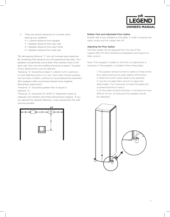

- 2. There are several distances to consider when placing your speakers:
	- X = Listener distance from speaker
	- Y = Speaker distance from rear wall
	- Z = Speaker distance from each other
	- S = Speaker distance from side wall

\*By decreasing distance "Y" you will increase bass response. By increasing that distance you will experience less bass. Your speakers will generally sound best when placed close to the back wall. Also, the front baffles should be at least 2" forward of any obstructions, such as cabinets.

\*Distance "Z" should be at least 4', while 6' to 8' is optimum in most listening rooms. In a "live" room (lots of hard surfaces, not too many curtains, cushions or sound absorbing materials), SDA speakers often sound best placed close together. Remember, experiment!

\*Distance "X" should be greater than or equal to distance "Z."

\*Distance "S" should be AT LEAST 3'. Placement closer to sidewalls will interfere with three-dimensional imaging. "If you can absorb the sidewall reflection, closer placements the wall may be possible.



### Rubber Feet and Adjustable Floor Spikes

Rubber feet come installed on the spike. In order to expose the spike, simply pull the rubber feet off.

## Adjusting the Floor Spikes

The floor spikes can be adjusted from the top of the Legend SDA Pro floor-standing loudspeakers and require an Allen wrench.

Note: If the speaker is stable on the floor, no adjustment is necessary. If the speaker is unstable, follow these steps:

> 1. The speaker will be inclined to settle on three of the four spikes leaving one spike slightly off the floor. 2. Determine which spike needs to be adjusted. 3. Use the included Allen wrench to adjust the spike height. Turn clockwise to lower the spike and counterclockwise to raise it.

> 4. As the spike contacts the floor, it will become more difficult to turn. At that point the speaker should be stabilized.

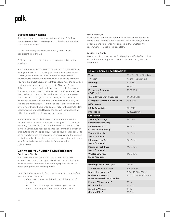## **System Diagnostics**

If you encounter an issue when setting up your SDA Pro loudspeakers, follow these steps to troubleshoot and make corrections as needed.

1. Start with facing speakers the directly forward and equidistant from the wall.

2. Place a chair in the listening area centered between the speakers.

3. To check for Absolute Phase, disconnect the (-) black wires from your loudspeaker, leaving the (+) red wires connected. Switch your amplifier to MONO operation or play MONO source music. Rotate the balance control back and forth until you find the lowest sound level. If this occurs near the 12 o'clock position, your speakers are correctly in Absolute Phase. If there is no sound at all, both speakers are out of Absolute Phase and you will need to reverse the connections at either the speakers or the amplifier so that red (+) on the speaker corresponds the red (+) on the amplifier, and so on. If the lowest sound level is heard with the balance control fully to the left, the right speaker is out of phase. If the lowest sound level is heard with the balance control fully to the right, the left speaker is out of phase. Reverse the speaker connections at either the amplifier or the out of phase speaker.

4. Reconnect the (-) black wires to your speakers. Return the amplifier to STEREO operation, making certain that your recording is in STEREO, and sit in the chair to listen for a few minutes. You should hear sound that appears to come from an area outside the two speakers, as well as sound that appears to come from between the speakers. By manipulating the balance control, you should be able to move the apparent sound source from far outside the left speaker to far outside the right speaker.

## **Caring for Your Legend Loudspeakers**  Enclosure Finish

Your Legend enclosures are finished in real natural wood veneer. Clean these panels periodically with a soft cloth and furniture polish to remove dust and fingerprints. Never use harsh detergents and cleaning fluids.

*Note: Do not use any petroleum-based cleaners or solvents on the loudspeaker cabinets.*

- Clean wood panels with furniture polish and a soft dry cloth
- Do not use furniture polish on black gloss lacquer
- Clean black lacquer veneer with a damp cloth

## Baffle Smudges

Dust baffles with the included dust cloth or any other dry or damp cloth (a damp cloth is one that has been sprayed with a recommended cleaner, not one soaked with water). We recommend you use a lint-free cloth.

### Dusting the Baffle

Use a can of compressed air for the grille and/or baffle to dust. Use a "computer keyboard" vacuum (only on the grille, not the baffle).

| <b>Legend Series Specifications</b>                                             |                                              |
|---------------------------------------------------------------------------------|----------------------------------------------|
| <b>Type</b>                                                                     | SDA Pro Floor Standing                       |
| <b>Tweeter</b>                                                                  | 1" Ring Radiator (x2)                        |
| Midrange                                                                        | $5.25''$ ( $\times$ 2)                       |
| Woofers                                                                         | 10'' (x2)                                    |
| <b>Frequency Response</b><br>(-3dB limits)                                      | 32-38000Hz                                   |
| <b>Overall Frequency Response</b>                                               | 24-50000Hz                                   |
| <b>Steady State Recommended Am-</b><br>plifier Power                            | 25-300W                                      |
| 2.83V Sensitivity                                                               | 87dBSPL                                      |
| Impedance                                                                       | $4\Omega$ (2.8 $\Omega$ min.)                |
| <b>Crossover</b>                                                                |                                              |
| Tweeter/Midrange<br><b>Crossover Frequency</b>                                  | 2800Hz                                       |
| Midrange/Midbass<br><b>Crossover Frequency</b>                                  | 370Hz                                        |
| <b>Tweeter High Pass</b><br>Slope (acoustic)                                    | 24dB/oct.                                    |
| <b>Midrange Low Pass</b><br>Slope (acoustic)                                    | 24dB/oct.                                    |
| <b>Midrange High Pass</b><br>Slope (acoustic)                                   | 24dB/oct.                                    |
| <b>Woofer Low Pass</b><br>Slope (acoustic)                                      | 24dB/oct.                                    |
|                                                                                 |                                              |
| Midrange Enclosure Type                                                         | sealed                                       |
| <b>Woofer Enclosure Type</b>                                                    | Power Port                                   |
| Dimensions W x H x D<br>(Inches and Metric)<br>(greatest overall depth, grille) | 17.94x48.60x17.38in<br>455.6x1234.5x 441.4mm |
| Product Weight (each)<br>(Pd and Kilos)                                         | 118 lb<br>53.5 kg                            |
| <b>Shipping Weight</b><br>(Pd and Kilos)                                        | $151$ lb<br>68.5 kg                          |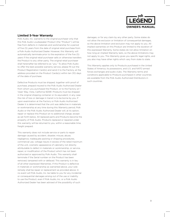

## **Limited 5-Year Warranty**

Polk Audio, Inc. warrants to the original purchaser only that this Polk Audio Loudspeaker Product (the "Product") will be free from defects in materials and workmanship for a period of five (5) years from the date of original retail purchase from a Polk Audio Authorized Dealer. However, this Warranty will automatically terminate prior to the expiration of the five (5) years if the original retail purchaser sells or otherwise transfers the Product to any other party. The original retail purchaser shall hereinafter be referred to as "you." To allow Polk Audio to offer the best possible warranty service, please fill out the Product Registration Card(s) and send it to the Factory, at the address provided on the Product Cards(s) within ten (10) days of the date of purchase.

Defective Products must be shipped, together with proof of purchase, prepaid insured to the Polk Audio Authorized Dealer from whom you purchased the Product, or to the Factory at 1 Viper Way, Vista, California 92081. Products must be shipped in the original shipping container or its equivalent; in any case the risk of loss or damage in transit is to be borne by you. If upon examination at the Factory or Polk Audio Authorized Dealer it is determined that the unit was defective in materials or workmanship at any time during this Warranty period, Polk Audio or the Polk Audio Authorized Dealer will, at its option, repair or replace this Product at no additional charge, except as set forth below. All replaced parts and Products become the property of Polk Audio. Products replaced or repaired under this warranty will be returned to you, within a reasonable time, freight prepaid.

This warranty does not include service or parts to repair damage caused by accident, disaster, misuse, abuse, negligence, inadequate packing or shipping procedures, commercial use, voltage inputs in excess of the rated maximum of the unit, cosmetic appearance of cabinetry not directly attributable to defect in materials or workmanship, or service, repair, or modification of the Product which has not been authorized or approved by Polk Audio. This warranty shall terminate if the Serial number on the Product has been removed, tampered with or defaced. This warranty is in lieu of all other expressed Warranties. If this Product is defective in materials or workmanship as warranted above, your sole remedy shall be repair or replacement as provided above. In no event will Polk Audio, Inc. be liable to you for any incidental or consequential damages arising out of the use or inability to use the Product, even if Polk Audio, Inc. or a Polk Audio Authorized Dealer has been advised of the possibility of such

damages, or for any claim by any other party. Some states do not allow the exclusion or limitation of consequential damages, so the above limitation and exclusion may not apply to you. All implied warranties on this Product are limited to the duration of this expressed Warranty. Some states do not allow limitation on how long an implied Warranty lasts, so the above limitations may not apply to you. This Warranty gives you specific legal rights, and you also may have other rights which vary from state to state.

This Warranty applies only to Products purchased in the United States of America, its possessions, and U.S. and NATO armed forces exchanges and audio clubs. The Warranty terms and conditions applicable to Products purchased in other countries are available from the Polk Audio Authorized Distributors in such countries.